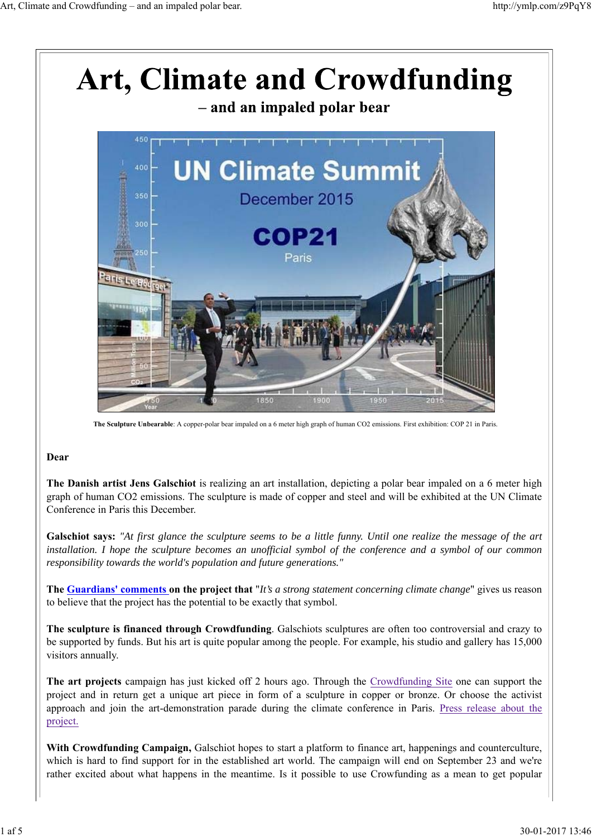

**The Sculpture Unbearable**: A copper-polar bear impaled on a 6 meter high graph of human CO2 emissions. First exhibition: COP 21 in Paris.

#### **Dear**

**The Danish artist Jens Galschiot** is realizing an art installation, depicting a polar bear impaled on a 6 meter high graph of human CO2 emissions. The sculpture is made of copper and steel and will be exhibited at the UN Climate Conference in Paris this December.

**Galschiot says:** *"At first glance the sculpture seems to be a little funny. Until one realize the message of the art installation. I hope the sculpture becomes an unofficial symbol of the conference and a symbol of our common responsibility towards the world's population and future generations."*

**The Guardians' comments on the project that** "*It's a strong statement concerning climate change*" gives us reason to believe that the project has the potential to be exactly that symbol.

**The sculpture is financed through Crowdfunding**. Galschiots sculptures are often too controversial and crazy to be supported by funds. But his art is quite popular among the people. For example, his studio and gallery has 15,000 visitors annually.

**The art projects** campaign has just kicked off 2 hours ago. Through the Crowdfunding Site one can support the project and in return get a unique art piece in form of a sculpture in copper or bronze. Or choose the activist approach and join the art-demonstration parade during the climate conference in Paris. Press release about the project.

**With Crowdfunding Campaign,** Galschiot hopes to start a platform to finance art, happenings and counterculture, which is hard to find support for in the established art world. The campaign will end on September 23 and we're rather excited about what happens in the meantime. Is it possible to use Crowfunding as a mean to get popular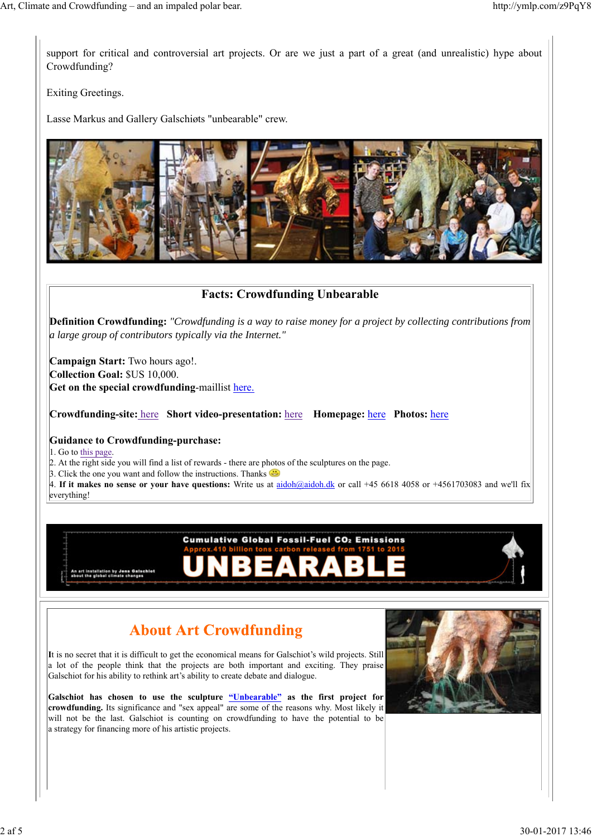support for critical and controversial art projects. Or are we just a part of a great (and unrealistic) hype about Crowdfunding?

Exiting Greetings.

Lasse Markus and Gallery Galschiøts "unbearable" crew.



### **Facts: Crowdfunding Unbearable**

**Definition Crowdfunding:** *"Crowdfunding is a way to raise money for a project by collecting contributions from a large group of contributors typically via the Internet."*

**Campaign Start:** Two hours ago!. **Collection Goal:** \$US 10,000. **Get on the special crowdfunding**-maillist here.

**Crowdfunding-site:** here **Short video-presentation:** here **Homepage:** here **Photos:** here

#### **Guidance to Crowdfunding-purchase:**

1. Go to this page.

2. At the right side you will find a list of rewards - there are photos of the sculptures on the page.

3. Click the one you want and follow the instructions. Thanks  $\bigoplus$ 

4. **If it makes no sense or your have questions:** Write us at aidoh@aidoh.dk or call +45 6618 4058 or +4561703083 and we'll fix everything!

**Cumulative Global Fossil-Fuel CO2 Emissions** 

Δ

RA

An art installation by Jens<br>about the global climate cha

## **About Art Crowdfunding**

**I**t is no secret that it is difficult to get the economical means for Galschiot's wild projects. Still a lot of the people think that the projects are both important and exciting. They praise Galschiot for his ability to rethink art's ability to create debate and dialogue.

**Galschiot has chosen to use the sculpture "Unbearable" as the first project for crowdfunding.** Its significance and "sex appeal" are some of the reasons why. Most likely it will not be the last. Galschiot is counting on crowdfunding to have the potential to be a strategy for financing more of his artistic projects.

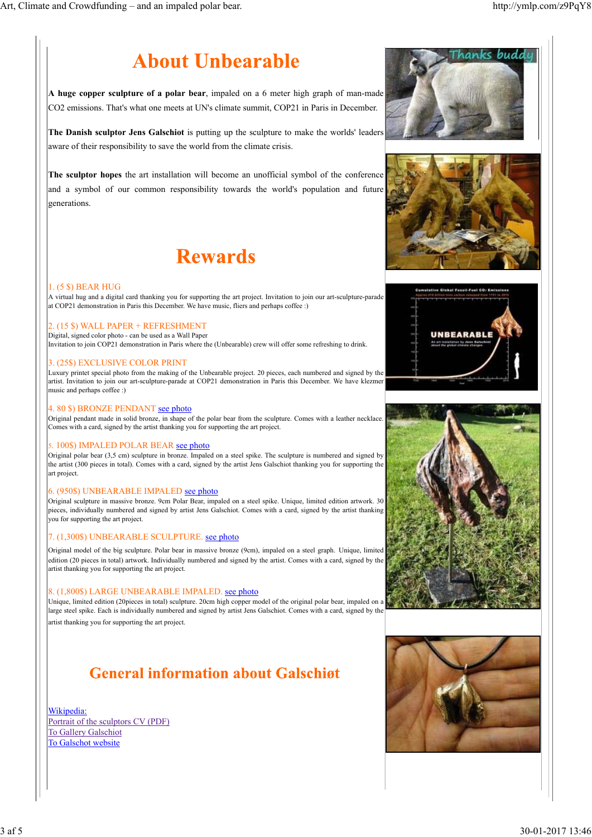# **About Unbearable**

**A huge copper sculpture of a polar bear**, impaled on a 6 meter high graph of man-made CO2 emissions. That's what one meets at UN's climate summit, COP21 in Paris in December.

**The Danish sculptor Jens Galschiot** is putting up the sculpture to make the worlds' leaders aware of their responsibility to save the world from the climate crisis.

**The sculptor hopes** the art installation will become an unofficial symbol of the conference and a symbol of our common responsibility towards the world's population and future lgenerations.

## **Rewards**

#### 1. (5 \$) BEAR HUG

A virtual hug and a digital card thanking you for supporting the art project. Invitation to join our art-sculpture-parade at COP21 demonstration in Paris this December. We have music, fliers and perhaps coffee :)

#### 2. (15 \$) WALL PAPER + REFRESHMENT

Digital, signed color photo - can be used as a Wall Paper Invitation to join COP21 demonstration in Paris where the (Unbearable) crew will offer some refreshing to drink.

#### 3. (25\$) EXCLUSIVE COLOR PRINT

Luxury printet special photo from the making of the Unbearable project. 20 pieces, each numbered and signed by the artist. Invitation to join our art-sculpture-parade at COP21 demonstration in Paris this December. We have klezmer music and perhaps coffee :)

#### 4. 80 \$) BRONZE PENDANT see photo

Original pendant made in solid bronze, in shape of the polar bear from the sculpture. Comes with a leather necklace. Comes with a card, signed by the artist thanking you for supporting the art project.

#### 5. 100\$) IMPALED POLAR BEAR see photo

Original polar bear (3,5 cm) sculpture in bronze. Impaled on a steel spike. The sculpture is numbered and signed by the artist (300 pieces in total). Comes with a card, signed by the artist Jens Galschiot thanking you for supporting the art project.

#### 6. (950\$) UNBEARABLE IMPALED see photo

Original sculpture in massive bronze. 9cm Polar Bear, impaled on a steel spike. Unique, limited edition artwork. 30 pieces, individually numbered and signed by artist Jens Galschiot. Comes with a card, signed by the artist thanking you for supporting the art project.

#### 7. (1,300\$) UNBEARABLE SCULPTURE. see photo

Original model of the big sculpture. Polar bear in massive bronze (9cm), impaled on a steel graph. Unique, limited edition (20 pieces in total) artwork. Individually numbered and signed by the artist. Comes with a card, signed by the artist thanking you for supporting the art project.

#### 8. (1,800\$) LARGE UNBEARABLE IMPALED. see photo

Unique, limited edition (20pieces in total) sculpture. 20cm high copper model of the original polar bear, impaled on a large steel spike. Each is individually numbered and signed by artist Jens Galschiot. Comes with a card, signed by the artist thanking you for supporting the art project.

### **General information about Galschigt**

Wikipedia: Portrait of the sculptors CV (PDF) To Gallery Galschiot To Galschot website









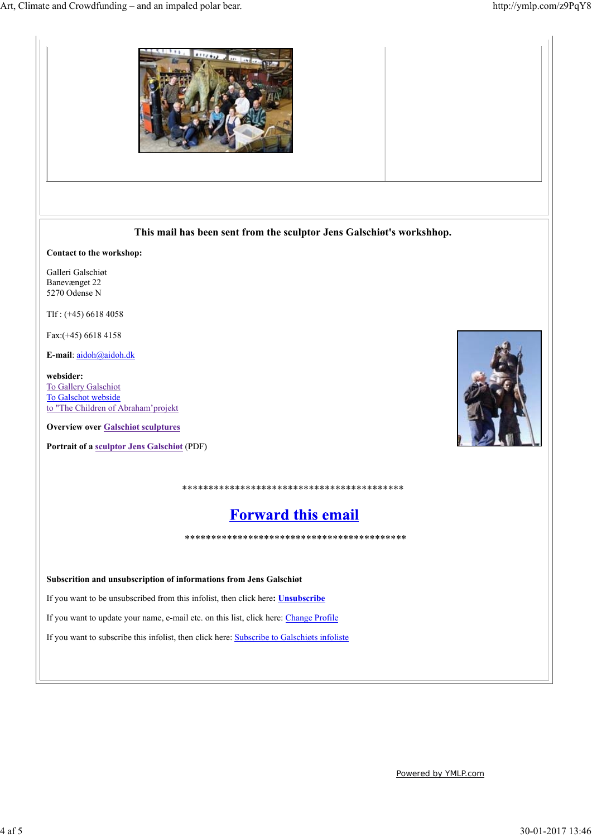

Powered by YMLP.com